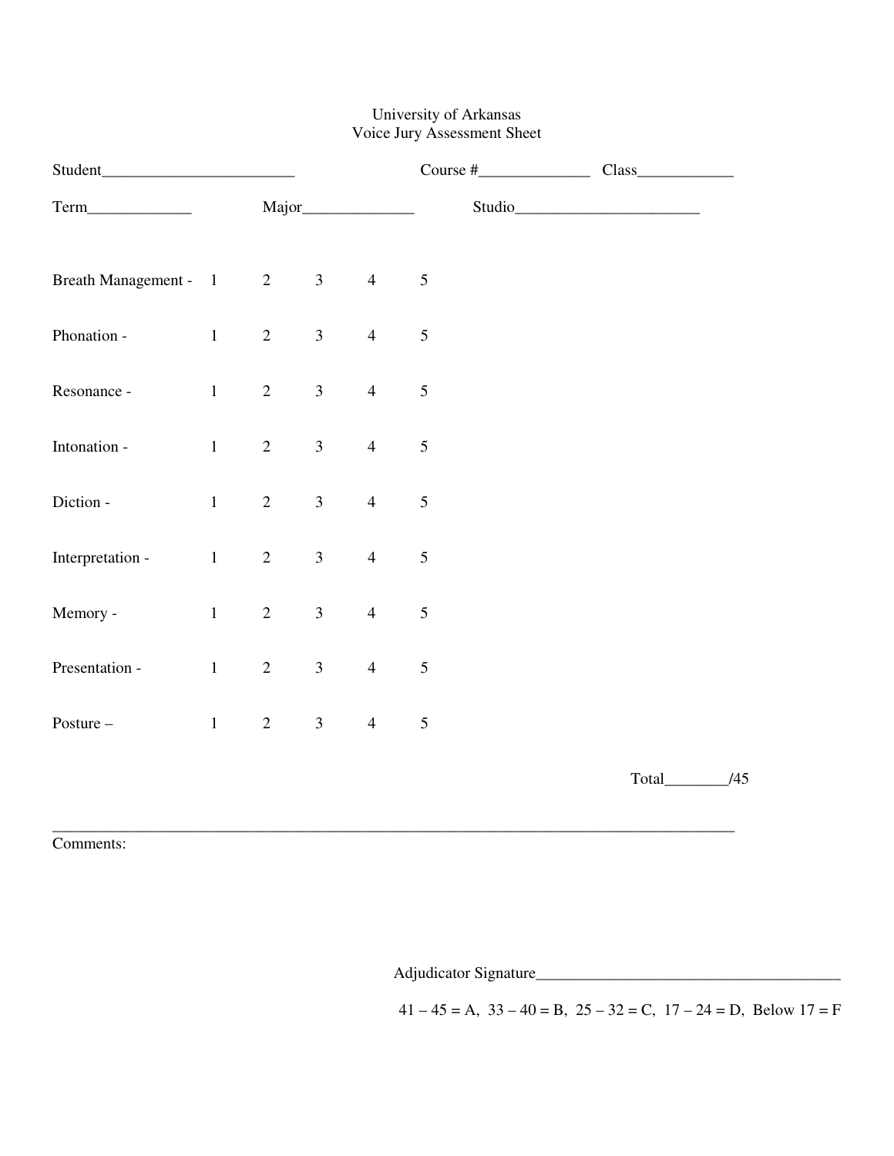## University of Arkansas Voice Jury Assessment Sheet

|                       |                   |                |                |                |                | Studio |  |
|-----------------------|-------------------|----------------|----------------|----------------|----------------|--------|--|
| Breath Management - 1 |                   | $\overline{2}$ | 3 <sup>1</sup> | $\overline{4}$ | $\sqrt{5}$     |        |  |
| Phonation -           | 1                 | $\overline{2}$ | 3 <sup>1</sup> | $\overline{4}$ | $\sqrt{5}$     |        |  |
| Resonance -           | $1 \qquad \qquad$ | $\overline{2}$ | 3 <sup>7</sup> | $\overline{4}$ | $\sqrt{5}$     |        |  |
| Intonation -          | $1 \qquad \qquad$ | $\overline{2}$ | 3 <sup>1</sup> | $\overline{4}$ | $\sqrt{5}$     |        |  |
| Diction -             | 1                 | $\overline{2}$ | 3 <sup>7</sup> | $\overline{4}$ | $\sqrt{5}$     |        |  |
| Interpretation -      | $1 -$             | $\overline{2}$ | 3 <sup>1</sup> | $\overline{4}$ | $\mathfrak{S}$ |        |  |
| Memory -              | $1 \qquad \qquad$ | $\overline{2}$ | 3 <sup>1</sup> | $\overline{4}$ | $\mathfrak{S}$ |        |  |
| Presentation -        | 1                 | $\overline{2}$ | 3 <sup>1</sup> | $\overline{4}$ | $\sqrt{5}$     |        |  |
| Posture-              | 1                 | $\overline{2}$ | 3 <sup>1</sup> | $\overline{4}$ | $\mathfrak{S}$ |        |  |
|                       |                   |                |                |                |                |        |  |

Comments:

Adjudicator Signature\_\_\_\_\_\_\_\_\_\_\_\_\_\_\_\_\_\_\_\_\_\_\_\_\_\_\_\_\_\_\_\_\_\_\_\_\_\_

 $41 - 45 = A$ ,  $33 - 40 = B$ ,  $25 - 32 = C$ ,  $17 - 24 = D$ , Below  $17 = F$